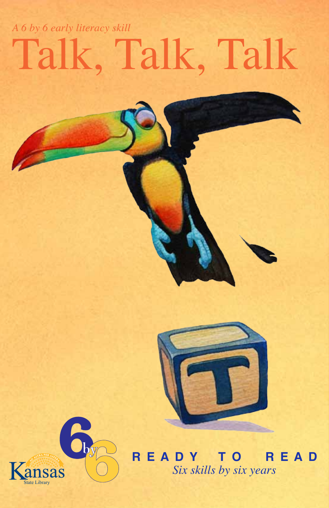## Talk, Talk, Talk *A 6 by 6 early literacy skill*





**R E A D Y T O R E A D** *Six skills by six years*